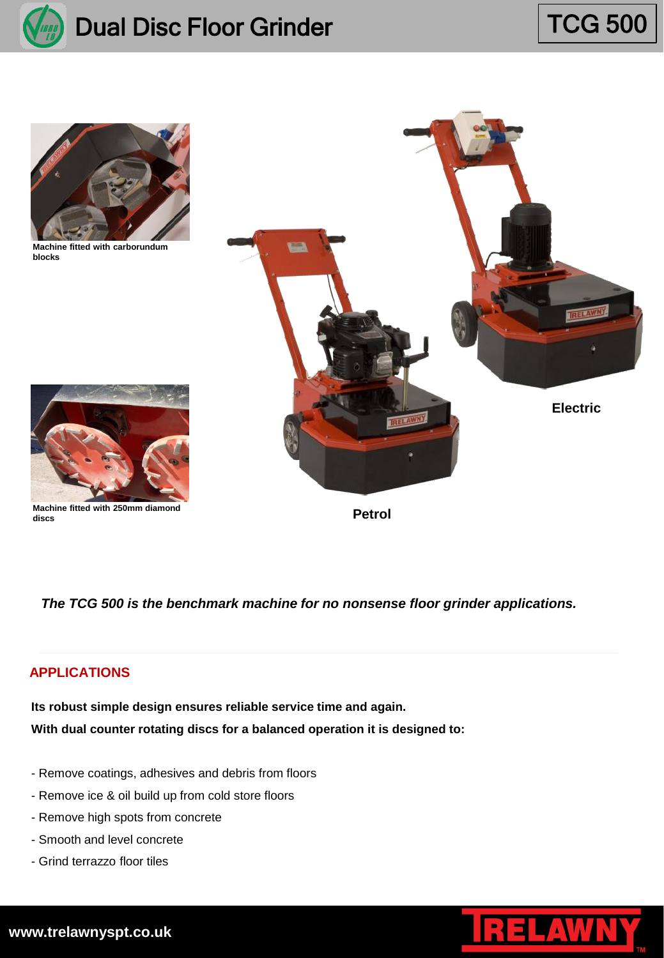

## Dual Disc Floor Grinder

# TCG 500



**Machine fitted with carborundum blocks**



**Machine fitted with 250mm diamond discs**



**Petrol**

*The TCG 500 is the benchmark machine for no nonsense floor grinder applications.*

## **APPLICATIONS**

**With dual counter rotating discs for a balanced operation it is designed to: Its robust simple design ensures reliable service time and again.**

- Remove coatings, adhesives and debris from floors
- Remove ice & oil build up from cold store floors
- Remove high spots from concrete
- Smooth and level concrete
- Grind terrazzo floor tiles